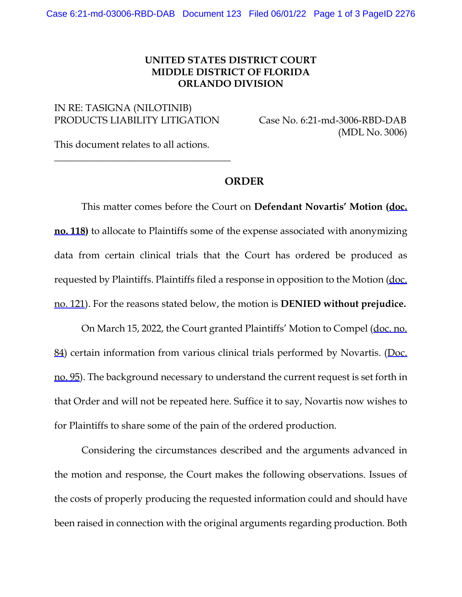## **UNITED STATES DISTRICT COURT MIDDLE DISTRICT OF FLORIDA ORLANDO DIVISION**

## IN RE: TASIGNA (NILOTINIB) PRODUCTS LIABILITY LITIGATION Case No. 6:21-md-3006-RBD-DAB

(MDL No. 3006)

This document relates to all actions.

\_\_\_\_\_\_\_\_\_\_\_\_\_\_\_\_\_\_\_\_\_\_\_\_\_\_\_\_\_\_\_\_\_\_\_\_

## **ORDER**

This matter comes before the Court on **Defendant Novartis' Motion ([doc.](https://flmd-ecf.sso.dcn/n/cmecfservices/rest/file/finddoc?caseYear=2021&caseNum=03006&caseType=md&caseOffice=6&docNum=118)  [no. 118](https://flmd-ecf.sso.dcn/n/cmecfservices/rest/file/finddoc?caseYear=2021&caseNum=03006&caseType=md&caseOffice=6&docNum=118))** to allocate to Plaintiffs some of the expense associated with anonymizing data from certain clinical trials that the Court has ordered be produced as requested by Plaintiffs. Plaintiffs filed a response in opposition to the Motion ([doc.](https://flmd-ecf.sso.dcn/n/cmecfservices/rest/file/finddoc?caseYear=2021&caseNum=03006&caseType=md&caseOffice=6&docNum=121)  [no. 121\)](https://flmd-ecf.sso.dcn/n/cmecfservices/rest/file/finddoc?caseYear=2021&caseNum=03006&caseType=md&caseOffice=6&docNum=121). For the reasons stated below, the motion is **DENIED without prejudice.**

On March 15, 2022, the Court granted Plaintiffs' Motion to Compel ([doc. no.](https://flmd-ecf.sso.dcn/n/cmecfservices/rest/file/finddoc?caseYear=2021&caseNum=03006&caseType=md&caseOffice=6&docNum=84)  [84\)](https://flmd-ecf.sso.dcn/n/cmecfservices/rest/file/finddoc?caseYear=2021&caseNum=03006&caseType=md&caseOffice=6&docNum=84) certain information from various clinical trials performed by Novartis. (Doc. [no. 95\)](https://flmd-ecf.sso.dcn/n/cmecfservices/rest/file/finddoc?caseYear=2021&caseNum=03006&caseType=md&caseOffice=6&docNum=95). The background necessary to understand the current request is set forth in that Order and will not be repeated here. Suffice it to say, Novartis now wishes to for Plaintiffs to share some of the pain of the ordered production.

Considering the circumstances described and the arguments advanced in the motion and response, the Court makes the following observations. Issues of the costs of properly producing the requested information could and should have been raised in connection with the original arguments regarding production. Both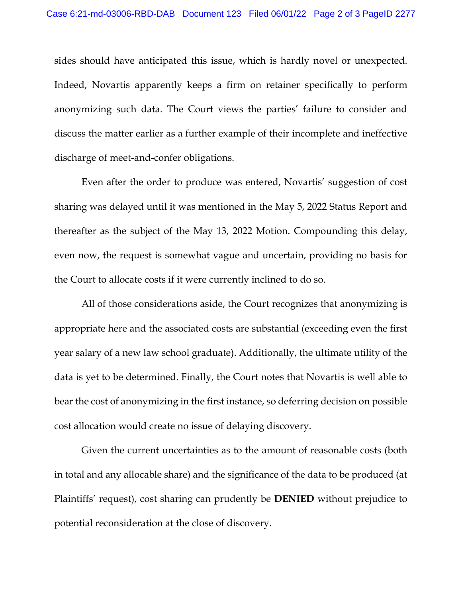sides should have anticipated this issue, which is hardly novel or unexpected. Indeed, Novartis apparently keeps a firm on retainer specifically to perform anonymizing such data. The Court views the parties' failure to consider and discuss the matter earlier as a further example of their incomplete and ineffective discharge of meet-and-confer obligations.

Even after the order to produce was entered, Novartis' suggestion of cost sharing was delayed until it was mentioned in the May 5, 2022 Status Report and thereafter as the subject of the May 13, 2022 Motion. Compounding this delay, even now, the request is somewhat vague and uncertain, providing no basis for the Court to allocate costs if it were currently inclined to do so.

All of those considerations aside, the Court recognizes that anonymizing is appropriate here and the associated costs are substantial (exceeding even the first year salary of a new law school graduate). Additionally, the ultimate utility of the data is yet to be determined. Finally, the Court notes that Novartis is well able to bear the cost of anonymizing in the first instance, so deferring decision on possible cost allocation would create no issue of delaying discovery.

Given the current uncertainties as to the amount of reasonable costs (both in total and any allocable share) and the significance of the data to be produced (at Plaintiffs' request), cost sharing can prudently be **DENIED** without prejudice to potential reconsideration at the close of discovery.